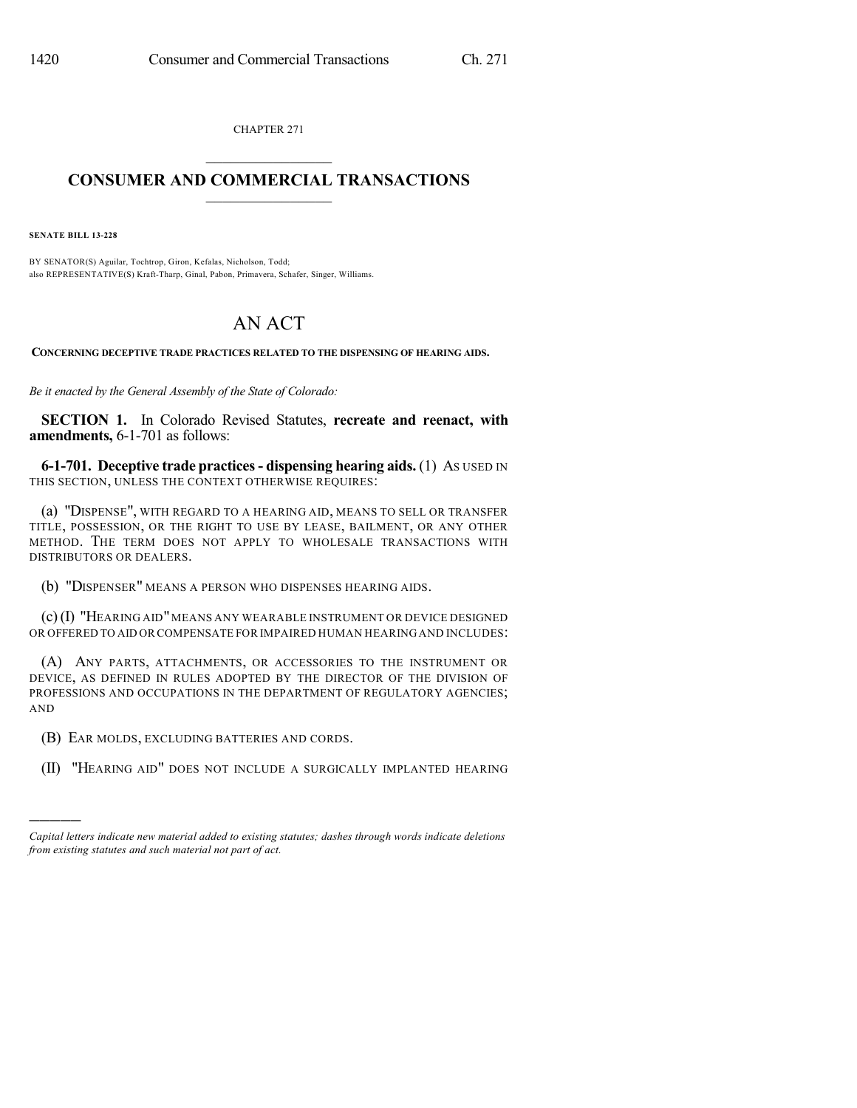CHAPTER 271

## $\mathcal{L}_\text{max}$  . The set of the set of the set of the set of the set of the set of the set of the set of the set of the set of the set of the set of the set of the set of the set of the set of the set of the set of the set **CONSUMER AND COMMERCIAL TRANSACTIONS**  $\frac{1}{2}$  ,  $\frac{1}{2}$  ,  $\frac{1}{2}$  ,  $\frac{1}{2}$  ,  $\frac{1}{2}$  ,  $\frac{1}{2}$

**SENATE BILL 13-228**

)))))

BY SENATOR(S) Aguilar, Tochtrop, Giron, Kefalas, Nicholson, Todd; also REPRESENTATIVE(S) Kraft-Tharp, Ginal, Pabon, Primavera, Schafer, Singer, Williams.

## AN ACT

**CONCERNING DECEPTIVE TRADE PRACTICES RELATED TO THE DISPENSING OF HEARING AIDS.**

*Be it enacted by the General Assembly of the State of Colorado:*

**SECTION 1.** In Colorado Revised Statutes, **recreate and reenact, with amendments,** 6-1-701 as follows:

**6-1-701. Deceptive trade practices- dispensing hearing aids.** (1) AS USED IN THIS SECTION, UNLESS THE CONTEXT OTHERWISE REQUIRES:

(a) "DISPENSE", WITH REGARD TO A HEARING AID, MEANS TO SELL OR TRANSFER TITLE, POSSESSION, OR THE RIGHT TO USE BY LEASE, BAILMENT, OR ANY OTHER METHOD. THE TERM DOES NOT APPLY TO WHOLESALE TRANSACTIONS WITH DISTRIBUTORS OR DEALERS.

(b) "DISPENSER" MEANS A PERSON WHO DISPENSES HEARING AIDS.

(c)(I) "HEARING AID"MEANS ANY WEARABLE INSTRUMENT OR DEVICE DESIGNED OR OFFERED TO AID OR COMPENSATE FOR IMPAIRED HUMAN HEARING AND INCLUDES:

(A) ANY PARTS, ATTACHMENTS, OR ACCESSORIES TO THE INSTRUMENT OR DEVICE, AS DEFINED IN RULES ADOPTED BY THE DIRECTOR OF THE DIVISION OF PROFESSIONS AND OCCUPATIONS IN THE DEPARTMENT OF REGULATORY AGENCIES; AND

(B) EAR MOLDS, EXCLUDING BATTERIES AND CORDS.

(II) "HEARING AID" DOES NOT INCLUDE A SURGICALLY IMPLANTED HEARING

*Capital letters indicate new material added to existing statutes; dashes through words indicate deletions from existing statutes and such material not part of act.*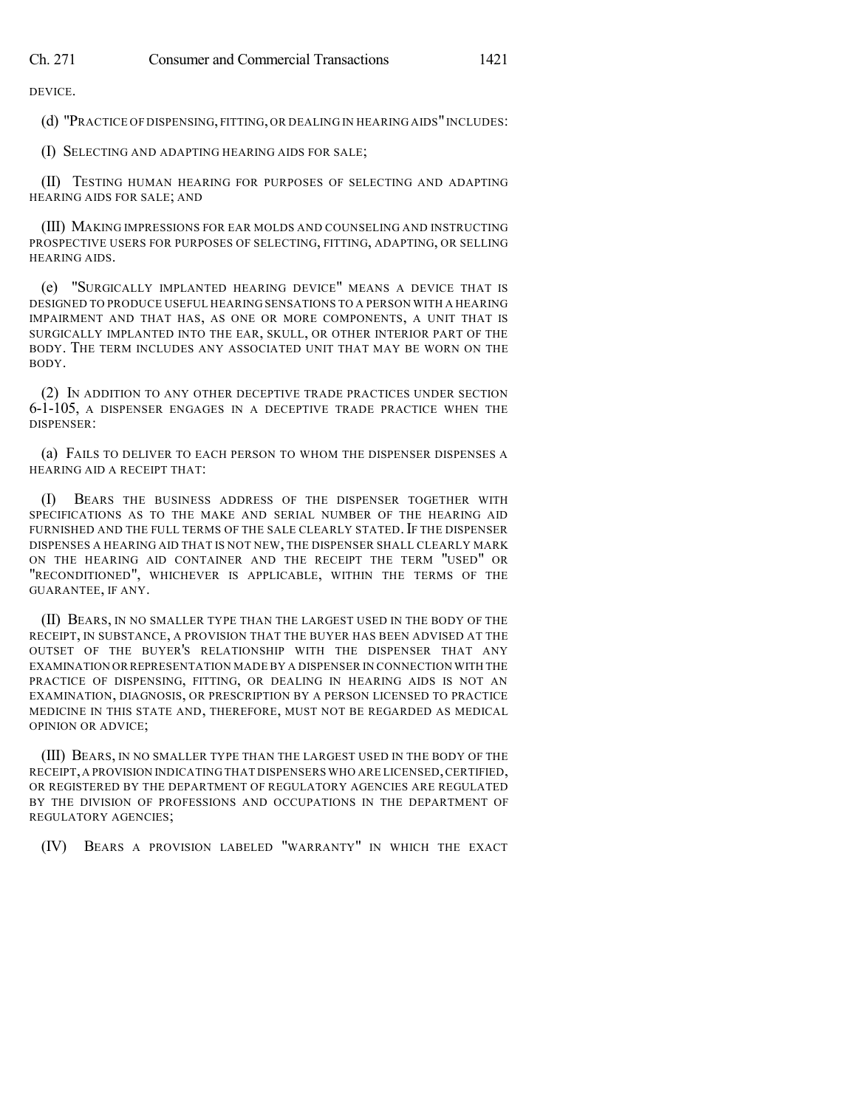DEVICE.

(d) "PRACTICE OF DISPENSING, FITTING, OR DEALING IN HEARING AIDS"INCLUDES:

(I) SELECTING AND ADAPTING HEARING AIDS FOR SALE;

(II) TESTING HUMAN HEARING FOR PURPOSES OF SELECTING AND ADAPTING HEARING AIDS FOR SALE; AND

(III) MAKING IMPRESSIONS FOR EAR MOLDS AND COUNSELING AND INSTRUCTING PROSPECTIVE USERS FOR PURPOSES OF SELECTING, FITTING, ADAPTING, OR SELLING HEARING AIDS.

(e) "SURGICALLY IMPLANTED HEARING DEVICE" MEANS A DEVICE THAT IS DESIGNED TO PRODUCE USEFUL HEARING SENSATIONS TO A PERSON WITH A HEARING IMPAIRMENT AND THAT HAS, AS ONE OR MORE COMPONENTS, A UNIT THAT IS SURGICALLY IMPLANTED INTO THE EAR, SKULL, OR OTHER INTERIOR PART OF THE BODY. THE TERM INCLUDES ANY ASSOCIATED UNIT THAT MAY BE WORN ON THE BODY.

(2) IN ADDITION TO ANY OTHER DECEPTIVE TRADE PRACTICES UNDER SECTION 6-1-105, A DISPENSER ENGAGES IN A DECEPTIVE TRADE PRACTICE WHEN THE DISPENSER:

(a) FAILS TO DELIVER TO EACH PERSON TO WHOM THE DISPENSER DISPENSES A HEARING AID A RECEIPT THAT:

(I) BEARS THE BUSINESS ADDRESS OF THE DISPENSER TOGETHER WITH SPECIFICATIONS AS TO THE MAKE AND SERIAL NUMBER OF THE HEARING AID FURNISHED AND THE FULL TERMS OF THE SALE CLEARLY STATED. IF THE DISPENSER DISPENSES A HEARING AID THAT IS NOT NEW, THE DISPENSER SHALL CLEARLY MARK ON THE HEARING AID CONTAINER AND THE RECEIPT THE TERM "USED" OR "RECONDITIONED", WHICHEVER IS APPLICABLE, WITHIN THE TERMS OF THE GUARANTEE, IF ANY.

(II) BEARS, IN NO SMALLER TYPE THAN THE LARGEST USED IN THE BODY OF THE RECEIPT, IN SUBSTANCE, A PROVISION THAT THE BUYER HAS BEEN ADVISED AT THE OUTSET OF THE BUYER'S RELATIONSHIP WITH THE DISPENSER THAT ANY EXAMINATION OR REPRESENTATION MADE BY A DISPENSER IN CONNECTION WITH THE PRACTICE OF DISPENSING, FITTING, OR DEALING IN HEARING AIDS IS NOT AN EXAMINATION, DIAGNOSIS, OR PRESCRIPTION BY A PERSON LICENSED TO PRACTICE MEDICINE IN THIS STATE AND, THEREFORE, MUST NOT BE REGARDED AS MEDICAL OPINION OR ADVICE;

(III) BEARS, IN NO SMALLER TYPE THAN THE LARGEST USED IN THE BODY OF THE RECEIPT, A PROVISION INDICATING THAT DISPENSERS WHO ARE LICENSED, CERTIFIED, OR REGISTERED BY THE DEPARTMENT OF REGULATORY AGENCIES ARE REGULATED BY THE DIVISION OF PROFESSIONS AND OCCUPATIONS IN THE DEPARTMENT OF REGULATORY AGENCIES;

(IV) BEARS A PROVISION LABELED "WARRANTY" IN WHICH THE EXACT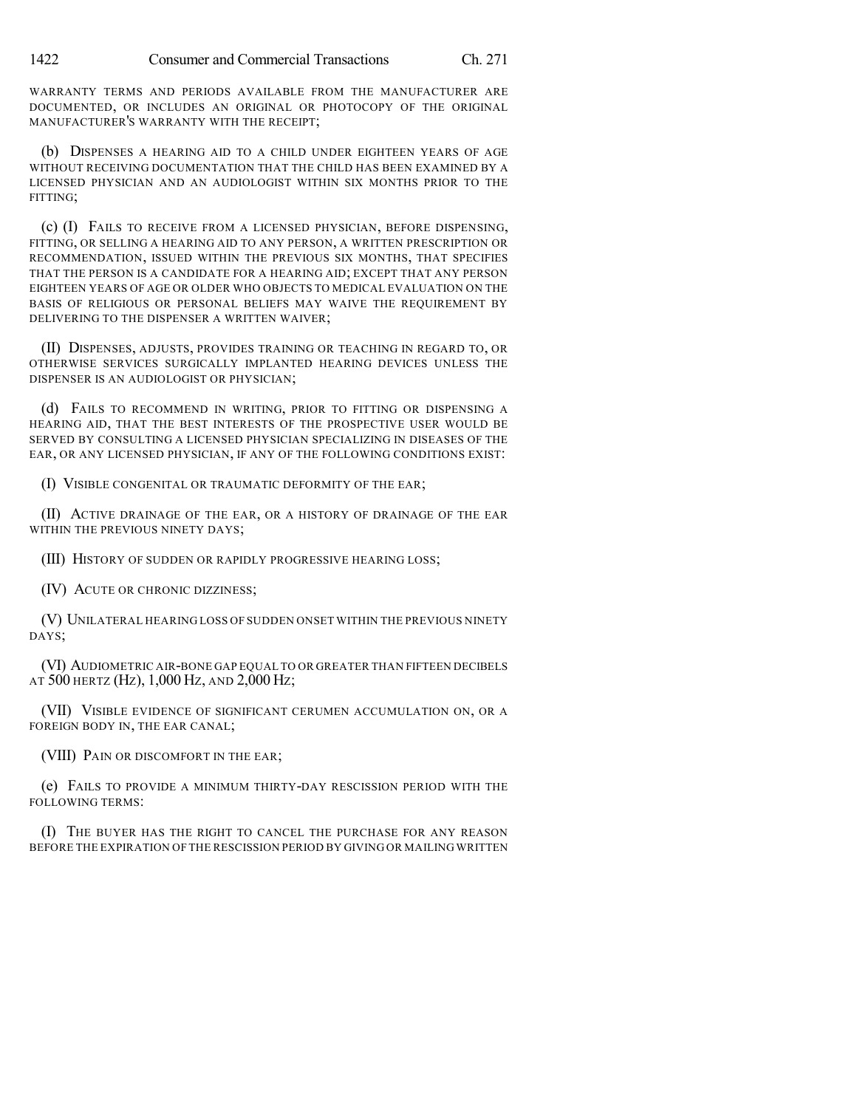WARRANTY TERMS AND PERIODS AVAILABLE FROM THE MANUFACTURER ARE DOCUMENTED, OR INCLUDES AN ORIGINAL OR PHOTOCOPY OF THE ORIGINAL MANUFACTURER'S WARRANTY WITH THE RECEIPT;

(b) DISPENSES A HEARING AID TO A CHILD UNDER EIGHTEEN YEARS OF AGE WITHOUT RECEIVING DOCUMENTATION THAT THE CHILD HAS BEEN EXAMINED BY A LICENSED PHYSICIAN AND AN AUDIOLOGIST WITHIN SIX MONTHS PRIOR TO THE FITTING;

(c) (I) FAILS TO RECEIVE FROM A LICENSED PHYSICIAN, BEFORE DISPENSING, FITTING, OR SELLING A HEARING AID TO ANY PERSON, A WRITTEN PRESCRIPTION OR RECOMMENDATION, ISSUED WITHIN THE PREVIOUS SIX MONTHS, THAT SPECIFIES THAT THE PERSON IS A CANDIDATE FOR A HEARING AID; EXCEPT THAT ANY PERSON EIGHTEEN YEARS OF AGE OR OLDER WHO OBJECTS TO MEDICAL EVALUATION ON THE BASIS OF RELIGIOUS OR PERSONAL BELIEFS MAY WAIVE THE REQUIREMENT BY DELIVERING TO THE DISPENSER A WRITTEN WAIVER;

(II) DISPENSES, ADJUSTS, PROVIDES TRAINING OR TEACHING IN REGARD TO, OR OTHERWISE SERVICES SURGICALLY IMPLANTED HEARING DEVICES UNLESS THE DISPENSER IS AN AUDIOLOGIST OR PHYSICIAN;

(d) FAILS TO RECOMMEND IN WRITING, PRIOR TO FITTING OR DISPENSING A HEARING AID, THAT THE BEST INTERESTS OF THE PROSPECTIVE USER WOULD BE SERVED BY CONSULTING A LICENSED PHYSICIAN SPECIALIZING IN DISEASES OF THE EAR, OR ANY LICENSED PHYSICIAN, IF ANY OF THE FOLLOWING CONDITIONS EXIST:

(I) VISIBLE CONGENITAL OR TRAUMATIC DEFORMITY OF THE EAR;

(II) ACTIVE DRAINAGE OF THE EAR, OR A HISTORY OF DRAINAGE OF THE EAR WITHIN THE PREVIOUS NINETY DAYS;

(III) HISTORY OF SUDDEN OR RAPIDLY PROGRESSIVE HEARING LOSS;

(IV) ACUTE OR CHRONIC DIZZINESS;

(V) UNILATERAL HEARING LOSS OF SUDDEN ONSET WITHIN THE PREVIOUS NINETY DAYS;

(VI) AUDIOMETRIC AIR-BONE GAP EQUAL TO OR GREATER THAN FIFTEEN DECIBELS AT 500 HERTZ (HZ), 1,000 HZ, AND 2,000 HZ;

(VII) VISIBLE EVIDENCE OF SIGNIFICANT CERUMEN ACCUMULATION ON, OR A FOREIGN BODY IN, THE EAR CANAL;

(VIII) PAIN OR DISCOMFORT IN THE EAR;

(e) FAILS TO PROVIDE A MINIMUM THIRTY-DAY RESCISSION PERIOD WITH THE FOLLOWING TERMS:

(I) THE BUYER HAS THE RIGHT TO CANCEL THE PURCHASE FOR ANY REASON BEFORE THE EXPIRATION OF THE RESCISSION PERIOD BY GIVING OR MAILING WRITTEN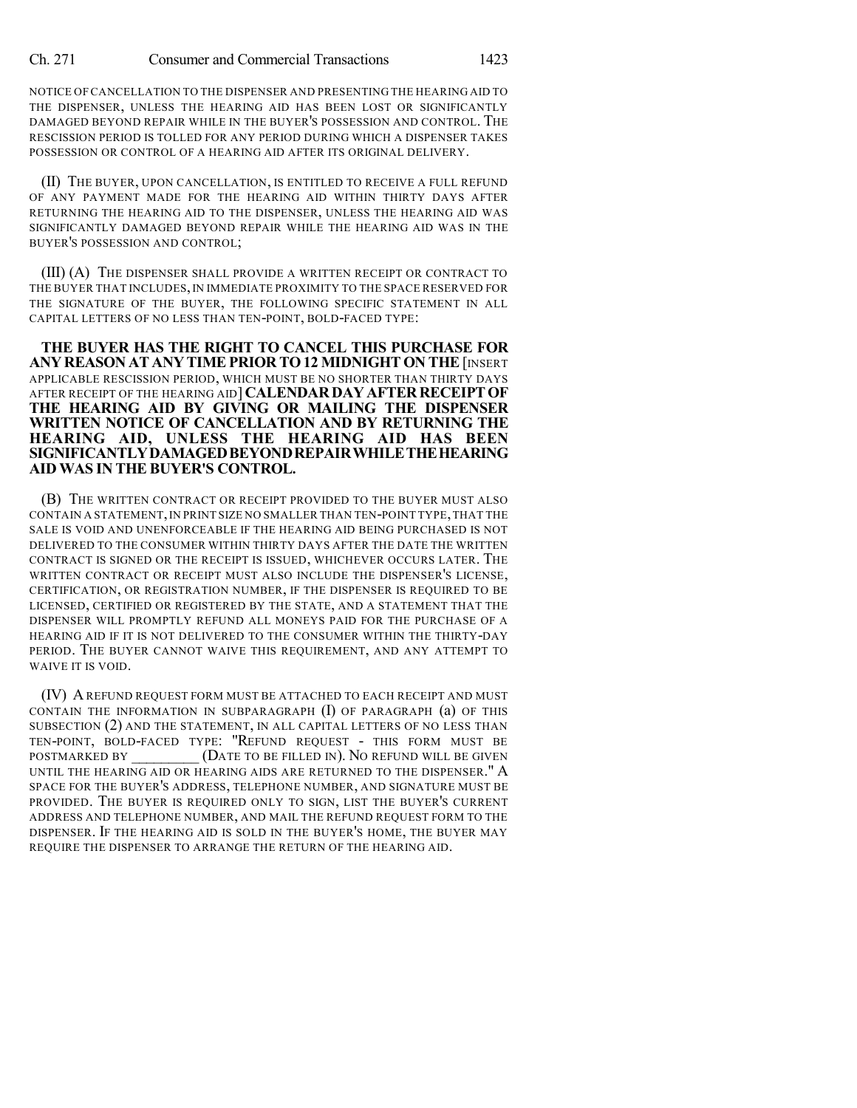NOTICE OF CANCELLATION TO THE DISPENSER AND PRESENTING THE HEARING AID TO THE DISPENSER, UNLESS THE HEARING AID HAS BEEN LOST OR SIGNIFICANTLY DAMAGED BEYOND REPAIR WHILE IN THE BUYER'S POSSESSION AND CONTROL. THE RESCISSION PERIOD IS TOLLED FOR ANY PERIOD DURING WHICH A DISPENSER TAKES POSSESSION OR CONTROL OF A HEARING AID AFTER ITS ORIGINAL DELIVERY.

(II) THE BUYER, UPON CANCELLATION, IS ENTITLED TO RECEIVE A FULL REFUND OF ANY PAYMENT MADE FOR THE HEARING AID WITHIN THIRTY DAYS AFTER RETURNING THE HEARING AID TO THE DISPENSER, UNLESS THE HEARING AID WAS SIGNIFICANTLY DAMAGED BEYOND REPAIR WHILE THE HEARING AID WAS IN THE BUYER'S POSSESSION AND CONTROL;

(III) (A) THE DISPENSER SHALL PROVIDE A WRITTEN RECEIPT OR CONTRACT TO THE BUYER THAT INCLUDES,IN IMMEDIATE PROXIMITY TO THE SPACE RESERVED FOR THE SIGNATURE OF THE BUYER, THE FOLLOWING SPECIFIC STATEMENT IN ALL CAPITAL LETTERS OF NO LESS THAN TEN-POINT, BOLD-FACED TYPE:

**THE BUYER HAS THE RIGHT TO CANCEL THIS PURCHASE FOR ANY REASON AT ANY TIMEPRIOR TO12 MIDNIGHT ON THE**[INSERT APPLICABLE RESCISSION PERIOD, WHICH MUST BE NO SHORTER THAN THIRTY DAYS AFTER RECEIPT OF THE HEARING AID] **CALENDARDAYAFTERRECEIPTOF THE HEARING AID BY GIVING OR MAILING THE DISPENSER WRITTEN NOTICE OF CANCELLATION AND BY RETURNING THE HEARING AID, UNLESS THE HEARING AID HAS BEEN SIGNIFICANTLYDAMAGEDBEYONDREPAIRWHILETHEHEARING AID WAS IN THE BUYER'S CONTROL.**

(B) THE WRITTEN CONTRACT OR RECEIPT PROVIDED TO THE BUYER MUST ALSO CONTAIN A STATEMENT, IN PRINT SIZE NO SMALLER THAN TEN-POINT TYPE, THAT THE SALE IS VOID AND UNENFORCEABLE IF THE HEARING AID BEING PURCHASED IS NOT DELIVERED TO THE CONSUMER WITHIN THIRTY DAYS AFTER THE DATE THE WRITTEN CONTRACT IS SIGNED OR THE RECEIPT IS ISSUED, WHICHEVER OCCURS LATER. THE WRITTEN CONTRACT OR RECEIPT MUST ALSO INCLUDE THE DISPENSER'S LICENSE, CERTIFICATION, OR REGISTRATION NUMBER, IF THE DISPENSER IS REQUIRED TO BE LICENSED, CERTIFIED OR REGISTERED BY THE STATE, AND A STATEMENT THAT THE DISPENSER WILL PROMPTLY REFUND ALL MONEYS PAID FOR THE PURCHASE OF A HEARING AID IF IT IS NOT DELIVERED TO THE CONSUMER WITHIN THE THIRTY-DAY PERIOD. THE BUYER CANNOT WAIVE THIS REQUIREMENT, AND ANY ATTEMPT TO WAIVE IT IS VOID.

(IV) AREFUND REQUEST FORM MUST BE ATTACHED TO EACH RECEIPT AND MUST CONTAIN THE INFORMATION IN SUBPARAGRAPH (I) OF PARAGRAPH (a) OF THIS SUBSECTION (2) AND THE STATEMENT, IN ALL CAPITAL LETTERS OF NO LESS THAN TEN-POINT, BOLD-FACED TYPE: "REFUND REQUEST - THIS FORM MUST BE POSTMARKED BY **CONTRACT (DATE TO BE FILLED IN). NO REFUND WILL BE GIVEN** UNTIL THE HEARING AID OR HEARING AIDS ARE RETURNED TO THE DISPENSER." A SPACE FOR THE BUYER'S ADDRESS, TELEPHONE NUMBER, AND SIGNATURE MUST BE PROVIDED. THE BUYER IS REQUIRED ONLY TO SIGN, LIST THE BUYER'S CURRENT ADDRESS AND TELEPHONE NUMBER, AND MAIL THE REFUND REQUEST FORM TO THE DISPENSER. IF THE HEARING AID IS SOLD IN THE BUYER'S HOME, THE BUYER MAY REQUIRE THE DISPENSER TO ARRANGE THE RETURN OF THE HEARING AID.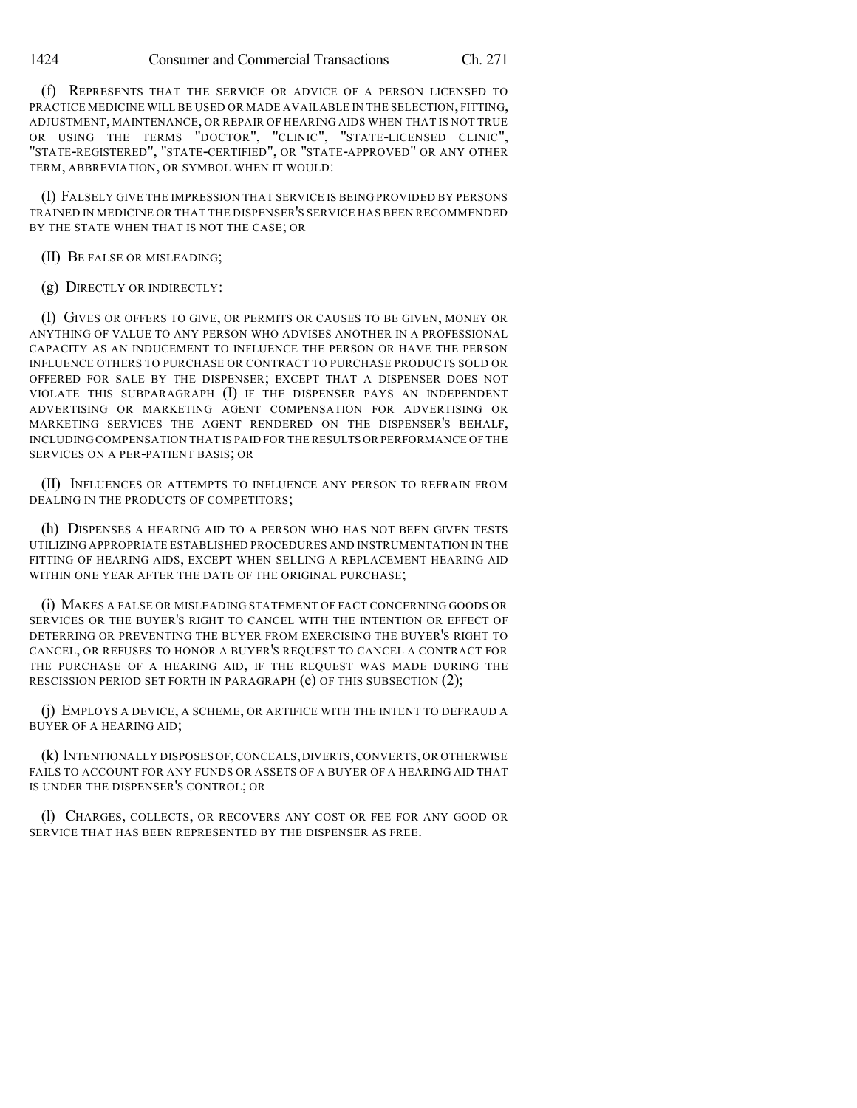(f) REPRESENTS THAT THE SERVICE OR ADVICE OF A PERSON LICENSED TO PRACTICE MEDICINE WILL BE USED OR MADE AVAILABLE IN THE SELECTION, FITTING, ADJUSTMENT, MAINTENANCE, OR REPAIR OF HEARING AIDS WHEN THAT IS NOT TRUE OR USING THE TERMS "DOCTOR", "CLINIC", "STATE-LICENSED CLINIC", "STATE-REGISTERED", "STATE-CERTIFIED", OR "STATE-APPROVED" OR ANY OTHER TERM, ABBREVIATION, OR SYMBOL WHEN IT WOULD:

(I) FALSELY GIVE THE IMPRESSION THAT SERVICE IS BEING PROVIDED BY PERSONS TRAINED IN MEDICINE OR THAT THE DISPENSER'S SERVICE HAS BEEN RECOMMENDED BY THE STATE WHEN THAT IS NOT THE CASE; OR

(II) BE FALSE OR MISLEADING;

(g) DIRECTLY OR INDIRECTLY:

(I) GIVES OR OFFERS TO GIVE, OR PERMITS OR CAUSES TO BE GIVEN, MONEY OR ANYTHING OF VALUE TO ANY PERSON WHO ADVISES ANOTHER IN A PROFESSIONAL CAPACITY AS AN INDUCEMENT TO INFLUENCE THE PERSON OR HAVE THE PERSON INFLUENCE OTHERS TO PURCHASE OR CONTRACT TO PURCHASE PRODUCTS SOLD OR OFFERED FOR SALE BY THE DISPENSER; EXCEPT THAT A DISPENSER DOES NOT VIOLATE THIS SUBPARAGRAPH (I) IF THE DISPENSER PAYS AN INDEPENDENT ADVERTISING OR MARKETING AGENT COMPENSATION FOR ADVERTISING OR MARKETING SERVICES THE AGENT RENDERED ON THE DISPENSER'S BEHALF, INCLUDING COMPENSATION THAT IS PAID FOR THE RESULTS OR PERFORMANCE OF THE SERVICES ON A PER-PATIENT BASIS; OR

(II) INFLUENCES OR ATTEMPTS TO INFLUENCE ANY PERSON TO REFRAIN FROM DEALING IN THE PRODUCTS OF COMPETITORS;

(h) DISPENSES A HEARING AID TO A PERSON WHO HAS NOT BEEN GIVEN TESTS UTILIZING APPROPRIATE ESTABLISHED PROCEDURES AND INSTRUMENTATION IN THE FITTING OF HEARING AIDS, EXCEPT WHEN SELLING A REPLACEMENT HEARING AID WITHIN ONE YEAR AFTER THE DATE OF THE ORIGINAL PURCHASE;

(i) MAKES A FALSE OR MISLEADING STATEMENT OF FACT CONCERNING GOODS OR SERVICES OR THE BUYER'S RIGHT TO CANCEL WITH THE INTENTION OR EFFECT OF DETERRING OR PREVENTING THE BUYER FROM EXERCISING THE BUYER'S RIGHT TO CANCEL, OR REFUSES TO HONOR A BUYER'S REQUEST TO CANCEL A CONTRACT FOR THE PURCHASE OF A HEARING AID, IF THE REQUEST WAS MADE DURING THE RESCISSION PERIOD SET FORTH IN PARAGRAPH (e) OF THIS SUBSECTION (2);

(j) EMPLOYS A DEVICE, A SCHEME, OR ARTIFICE WITH THE INTENT TO DEFRAUD A BUYER OF A HEARING AID;

(k) INTENTIONALLY DISPOSES OF,CONCEALS,DIVERTS,CONVERTS,OR OTHERWISE FAILS TO ACCOUNT FOR ANY FUNDS OR ASSETS OF A BUYER OF A HEARING AID THAT IS UNDER THE DISPENSER'S CONTROL; OR

(l) CHARGES, COLLECTS, OR RECOVERS ANY COST OR FEE FOR ANY GOOD OR SERVICE THAT HAS BEEN REPRESENTED BY THE DISPENSER AS FREE.